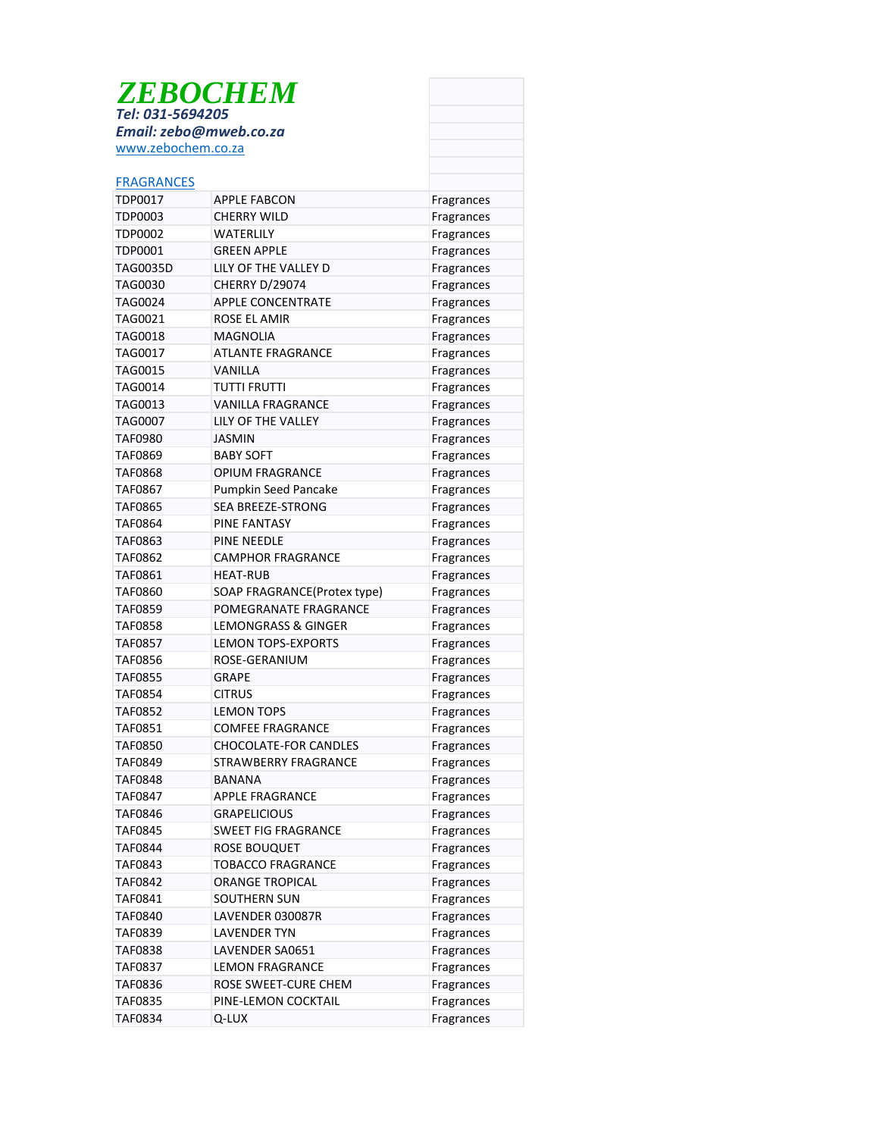| <b>ZEBOCHEM</b><br>Tel: 031-5694205          |                                |                          |  |
|----------------------------------------------|--------------------------------|--------------------------|--|
|                                              |                                |                          |  |
| Email: zebo@mweb.co.za<br>www.zebochem.co.za |                                |                          |  |
|                                              |                                |                          |  |
| <b>FRAGRANCES</b>                            |                                |                          |  |
| TDP0017                                      | <b>APPLE FABCON</b>            | Fragrances               |  |
| <b>TDP0003</b>                               | <b>CHERRY WILD</b>             | Fragrances               |  |
| <b>TDP0002</b>                               | WATERLILY                      | Fragrances               |  |
| TDP0001                                      | <b>GREEN APPLE</b>             | Fragrances               |  |
| <b>TAG0035D</b>                              | LILY OF THE VALLEY D           | Fragrances               |  |
| <b>TAG0030</b>                               | CHERRY D/29074                 | Fragrances               |  |
| <b>TAG0024</b>                               | <b>APPLE CONCENTRATE</b>       | Fragrances               |  |
| TAG0021                                      | ROSE EL AMIR                   | Fragrances               |  |
| TAG0018                                      | <b>MAGNOLIA</b>                | Fragrances               |  |
| TAG0017                                      | <b>ATLANTE FRAGRANCE</b>       | Fragrances               |  |
| TAG0015                                      | VANILLA                        | Fragrances               |  |
| TAG0014                                      | TUTTI FRUTTI                   | Fragrances               |  |
| TAG0013                                      | <b>VANILLA FRAGRANCE</b>       | Fragrances               |  |
| TAG0007                                      | <b>LILY OF THE VALLEY</b>      | Fragrances               |  |
| TAF0980                                      | JASMIN                         | Fragrances               |  |
| TAF0869                                      | <b>BABY SOFT</b>               | Fragrances               |  |
| TAF0868                                      | <b>OPIUM FRAGRANCE</b>         | Fragrances               |  |
| TAF0867                                      | Pumpkin Seed Pancake           | Fragrances               |  |
| <b>TAF0865</b>                               | <b>SEA BREEZE-STRONG</b>       | Fragrances               |  |
| TAF0864                                      | PINE FANTASY                   | Fragrances               |  |
| TAF0863                                      | <b>PINE NEEDLE</b>             | Fragrances               |  |
| TAF0862                                      | <b>CAMPHOR FRAGRANCE</b>       | Fragrances               |  |
| TAF0861                                      | <b>HEAT-RUB</b>                | Fragrances               |  |
| TAF0860                                      | SOAP FRAGRANCE(Protex type)    | Fragrances               |  |
| <b>TAF0859</b>                               | POMEGRANATE FRAGRANCE          | Fragrances               |  |
| <b>TAF0858</b>                               | <b>LEMONGRASS &amp; GINGER</b> | Fragrances               |  |
| TAF0857                                      | <b>LEMON TOPS-EXPORTS</b>      | Fragrances               |  |
| TAF0856                                      | ROSE-GERANIUM                  | Fragrances               |  |
| TAF0855                                      | GRAPE                          | Fragrances               |  |
| TAF0854                                      | <b>CITRUS</b>                  | Fragrances               |  |
| <b>TAF0852</b>                               | <b>LEMON TOPS</b>              | Fragrances               |  |
| TAF0851                                      | <b>COMFEE FRAGRANCE</b>        | Fragrances               |  |
| <b>TAF0850</b>                               | <b>CHOCOLATE-FOR CANDLES</b>   | Fragrances               |  |
| <b>TAF0849</b>                               | STRAWBERRY FRAGRANCE           | Fragrances               |  |
| <b>TAF0848</b>                               | <b>BANANA</b>                  | Fragrances               |  |
| <b>TAF0847</b>                               | APPLE FRAGRANCE                | Fragrances               |  |
| <b>TAF0846</b>                               | <b>GRAPELICIOUS</b>            | Fragrances               |  |
| <b>TAF0845</b>                               | <b>SWEET FIG FRAGRANCE</b>     | Fragrances               |  |
| <b>TAF0844</b>                               | <b>ROSE BOUQUET</b>            | Fragrances               |  |
| TAF0843                                      | <b>TOBACCO FRAGRANCE</b>       | Fragrances               |  |
| TAF0842                                      | <b>ORANGE TROPICAL</b>         | Fragrances               |  |
| TAF0841                                      | SOUTHERN SUN                   | Fragrances               |  |
| TAF0840                                      | LAVENDER 030087R               |                          |  |
| <b>TAF0839</b>                               | <b>LAVENDER TYN</b>            | Fragrances<br>Fragrances |  |
| <b>TAF0838</b>                               | LAVENDER SA0651                |                          |  |
| <b>TAF0837</b>                               | <b>LEMON FRAGRANCE</b>         | Fragrances               |  |
| <b>TAF0836</b>                               | ROSE SWEET-CURE CHEM           | Fragrances               |  |
| TAF0835                                      | PINE-LEMON COCKTAIL            | Fragrances<br>Fragrances |  |
| TAF0834                                      | Q-LUX                          | Fragrances               |  |
|                                              |                                |                          |  |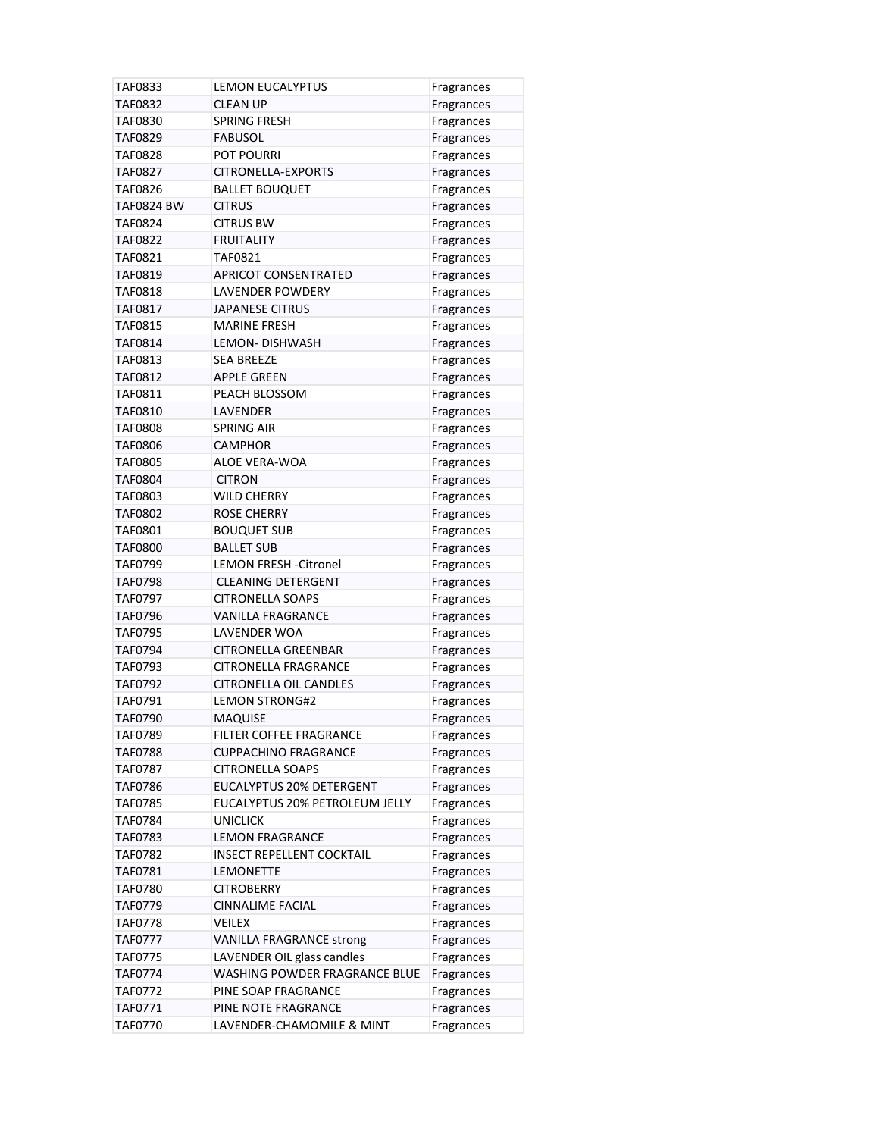| TAF0833           | <b>LEMON EUCALYPTUS</b>          | Fragrances |
|-------------------|----------------------------------|------------|
| <b>TAF0832</b>    | <b>CLEAN UP</b>                  | Fragrances |
| <b>TAF0830</b>    | SPRING FRESH                     | Fragrances |
| <b>TAF0829</b>    | <b>FABUSOL</b>                   | Fragrances |
| TAF0828           | <b>POT POURRI</b>                | Fragrances |
| TAF0827           | CITRONELLA-EXPORTS               | Fragrances |
| <b>TAF0826</b>    | <b>BALLET BOUQUET</b>            | Fragrances |
| <b>TAF0824 BW</b> | <b>CITRUS</b>                    | Fragrances |
| TAF0824           | <b>CITRUS BW</b>                 | Fragrances |
| <b>TAF0822</b>    | <b>FRUITALITY</b>                | Fragrances |
| TAF0821           | TAF0821                          | Fragrances |
| TAF0819           | <b>APRICOT CONSENTRATED</b>      | Fragrances |
| TAF0818           | LAVENDER POWDERY                 | Fragrances |
| TAF0817           | <b>JAPANESE CITRUS</b>           | Fragrances |
| TAF0815           | <b>MARINE FRESH</b>              | Fragrances |
| <b>TAF0814</b>    | LEMON-DISHWASH                   | Fragrances |
| TAF0813           | <b>SEA BREEZE</b>                | Fragrances |
| TAF0812           | APPLE GREEN                      | Fragrances |
| TAF0811           | PEACH BLOSSOM                    | Fragrances |
| <b>TAF0810</b>    | LAVENDER                         | Fragrances |
| <b>TAF0808</b>    | <b>SPRING AIR</b>                | Fragrances |
| <b>TAF0806</b>    | <b>CAMPHOR</b>                   | Fragrances |
| <b>TAF0805</b>    | ALOE VERA-WOA                    | Fragrances |
| <b>TAF0804</b>    | <b>CITRON</b>                    | Fragrances |
| TAF0803           | <b>WILD CHERRY</b>               | Fragrances |
| TAF0802           | <b>ROSE CHERRY</b>               | Fragrances |
| <b>TAF0801</b>    | <b>BOUQUET SUB</b>               | Fragrances |
| TAF0800           | <b>BALLET SUB</b>                | Fragrances |
| TAF0799           | LEMON FRESH - Citronel           | Fragrances |
| <b>TAF0798</b>    | <b>CLEANING DETERGENT</b>        | Fragrances |
| TAF0797           | <b>CITRONELLA SOAPS</b>          | Fragrances |
| <b>TAF0796</b>    | <b>VANILLA FRAGRANCE</b>         | Fragrances |
| TAF0795           | LAVENDER WOA                     | Fragrances |
| TAF0794           | <b>CITRONELLA GREENBAR</b>       | Fragrances |
| TAF0793           | <b>CITRONELLA FRAGRANCE</b>      | Fragrances |
| TAF0792           | <b>CITRONELLA OIL CANDLES</b>    | Fragrances |
| TAF0791           | <b>LEMON STRONG#2</b>            | Fragrances |
| <b>TAF0790</b>    | <b>MAQUISE</b>                   | Fragrances |
| <b>TAF0789</b>    | <b>FILTER COFFEE FRAGRANCE</b>   | Fragrances |
| <b>TAF0788</b>    | <b>CUPPACHINO FRAGRANCE</b>      | Fragrances |
| <b>TAF0787</b>    | <b>CITRONELLA SOAPS</b>          | Fragrances |
| <b>TAF0786</b>    | EUCALYPTUS 20% DETERGENT         | Fragrances |
| <b>TAF0785</b>    | EUCALYPTUS 20% PETROLEUM JELLY   | Fragrances |
| TAF0784           | <b>UNICLICK</b>                  | Fragrances |
| TAF0783           | <b>LEMON FRAGRANCE</b>           | Fragrances |
| TAF0782           | <b>INSECT REPELLENT COCKTAIL</b> | Fragrances |
| TAF0781           | <b>LEMONETTE</b>                 | Fragrances |
| TAF0780           | <b>CITROBERRY</b>                | Fragrances |
| TAF0779           | <b>CINNALIME FACIAL</b>          | Fragrances |
| <b>TAF0778</b>    | VEILEX                           | Fragrances |
| <b>TAF0777</b>    | <b>VANILLA FRAGRANCE strong</b>  | Fragrances |
| <b>TAF0775</b>    | LAVENDER OIL glass candles       | Fragrances |
| <b>TAF0774</b>    | WASHING POWDER FRAGRANCE BLUE    | Fragrances |
| TAF0772           | PINE SOAP FRAGRANCE              | Fragrances |
| TAF0771           | PINE NOTE FRAGRANCE              | Fragrances |
| <b>TAF0770</b>    | LAVENDER-CHAMOMILE & MINT        | Fragrances |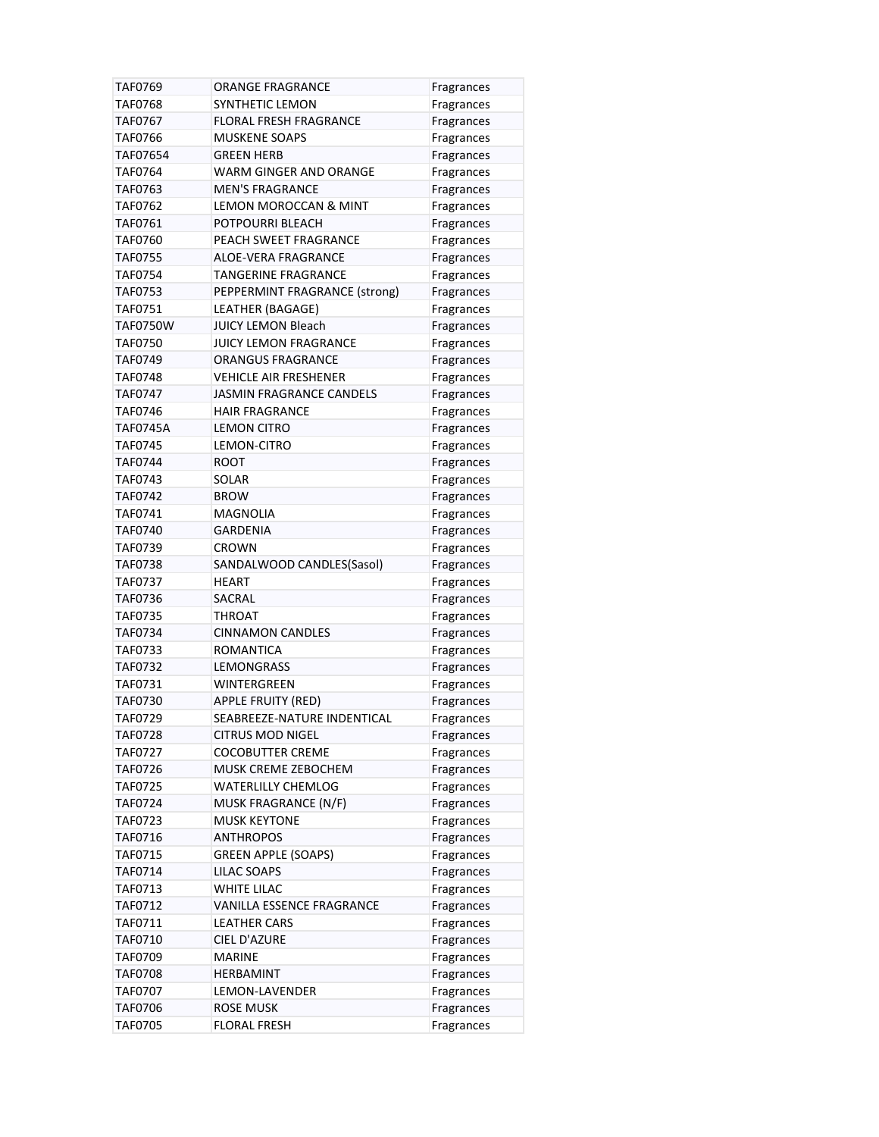| TAF0769            | ORANGE FRAGRANCE                         | Fragrances               |
|--------------------|------------------------------------------|--------------------------|
| <b>TAF0768</b>     | <b>SYNTHETIC LEMON</b>                   | Fragrances               |
| TAF0767            | <b>FLORAL FRESH FRAGRANCE</b>            | Fragrances               |
| <b>TAF0766</b>     | <b>MUSKENE SOAPS</b>                     | Fragrances               |
| TAF07654           | GREEN HERB                               | Fragrances               |
| TAF0764            | WARM GINGER AND ORANGE                   | Fragrances               |
| TAF0763            | <b>MEN'S FRAGRANCE</b>                   | Fragrances               |
| TAF0762            | LEMON MOROCCAN & MINT                    | Fragrances               |
| TAF0761            | POTPOURRI BLEACH                         | Fragrances               |
| <b>TAF0760</b>     | PEACH SWEET FRAGRANCE                    | Fragrances               |
| <b>TAF0755</b>     | <b>ALOE-VERA FRAGRANCE</b>               | Fragrances               |
| <b>TAF0754</b>     | <b>TANGERINE FRAGRANCE</b>               | Fragrances               |
| <b>TAF0753</b>     | PEPPERMINT FRAGRANCE (strong)            | Fragrances               |
| TAF0751            | LEATHER (BAGAGE)                         | Fragrances               |
| <b>TAF0750W</b>    | <b>JUICY LEMON Bleach</b>                | Fragrances               |
| <b>TAF0750</b>     | <b>JUICY LEMON FRAGRANCE</b>             | Fragrances               |
| TAF0749            | <b>ORANGUS FRAGRANCE</b>                 | Fragrances               |
| TAF0748            | <b>VEHICLE AIR FRESHENER</b>             | Fragrances               |
| TAF0747            | <b>JASMIN FRAGRANCE CANDELS</b>          | Fragrances               |
| <b>TAF0746</b>     | <b>HAIR FRAGRANCE</b>                    | Fragrances               |
| <b>TAF0745A</b>    | <b>LEMON CITRO</b>                       | Fragrances               |
| <b>TAF0745</b>     | LEMON-CITRO                              | Fragrances               |
| <b>TAF0744</b>     | <b>ROOT</b>                              |                          |
| TAF0743            | SOLAR                                    | Fragrances               |
| <b>TAF0742</b>     | <b>BROW</b>                              | Fragrances               |
| TAF0741            | MAGNOLIA                                 | Fragrances               |
|                    | GARDENIA                                 | Fragrances               |
| TAF0740<br>TAF0739 | CROWN                                    | Fragrances<br>Fragrances |
| <b>TAF0738</b>     | SANDALWOOD CANDLES(Sasol)                |                          |
| <b>TAF0737</b>     | HEART                                    | Fragrances               |
| <b>TAF0736</b>     | SACRAL                                   | Fragrances               |
| TAF0735            | THROAT                                   | Fragrances<br>Fragrances |
| <b>TAF0734</b>     | <b>CINNAMON CANDLES</b>                  | Fragrances               |
| TAF0733            | ROMANTICA                                | Fragrances               |
| <b>TAF0732</b>     | <b>LEMONGRASS</b>                        |                          |
| TAF0731            | WINTERGREEN                              | Fragrances<br>Fragrances |
| <b>TAF0730</b>     | <b>APPLE FRUITY (RED)</b>                | Fragrances               |
| TAF0729            | SEABREEZE-NATURE INDENTICAL              |                          |
| <b>TAF0728</b>     | <b>CITRUS MOD NIGEL</b>                  | Fragrances               |
| TAF0727            | <b>COCOBUTTER CREME</b>                  | Fragrances               |
| <b>TAF0726</b>     | MUSK CREME ZEBOCHEM                      | Fragrances<br>Fragrances |
| <b>TAF0725</b>     | <b>WATERLILLY CHEMLOG</b>                |                          |
| TAF0724            | MUSK FRAGRANCE (N/F)                     | Fragrances               |
| TAF0723            | <b>MUSK KEYTONE</b>                      | Fragrances               |
| <b>TAF0716</b>     |                                          | Fragrances               |
|                    | <b>ANTHROPOS</b>                         | Fragrances               |
| TAF0715            | <b>GREEN APPLE (SOAPS)</b>               | Fragrances               |
| TAF0714<br>TAF0713 | <b>LILAC SOAPS</b><br><b>WHITE LILAC</b> | Fragrances               |
|                    |                                          | Fragrances               |
| TAF0712            | <b>VANILLA ESSENCE FRAGRANCE</b>         | Fragrances               |
| TAF0711            | <b>LEATHER CARS</b>                      | Fragrances               |
| TAF0710            | CIEL D'AZURE                             | Fragrances               |
| TAF0709            | <b>MARINE</b>                            | Fragrances               |
| <b>TAF0708</b>     | <b>HERBAMINT</b>                         | Fragrances               |
| TAF0707            | LEMON-LAVENDER                           | Fragrances               |
| <b>TAF0706</b>     | <b>ROSE MUSK</b>                         | Fragrances               |
| <b>TAF0705</b>     | <b>FLORAL FRESH</b>                      | Fragrances               |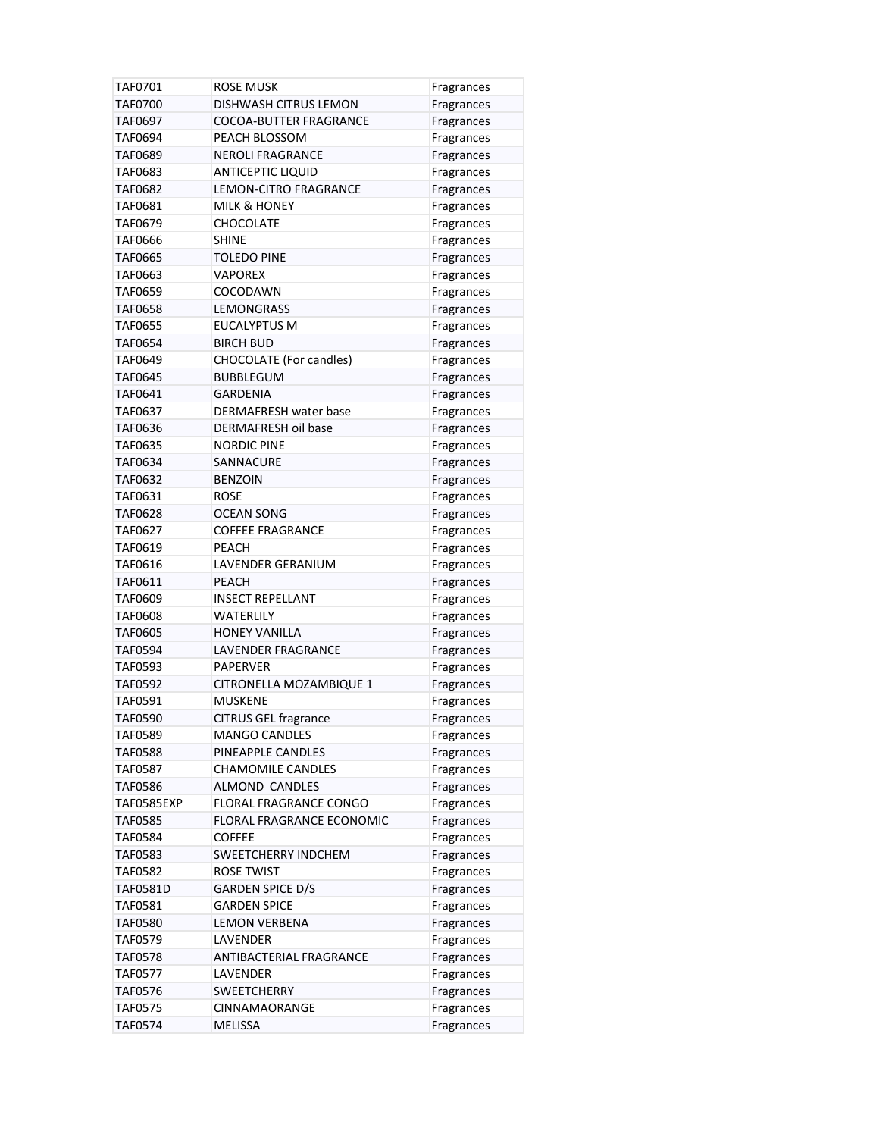| TAF0701           | ROSE MUSK                     | Fragrances               |
|-------------------|-------------------------------|--------------------------|
| <b>TAF0700</b>    | DISHWASH CITRUS LEMON         | Fragrances               |
| TAF0697           | <b>COCOA-BUTTER FRAGRANCE</b> | Fragrances               |
| TAF0694           | PEACH BLOSSOM                 | Fragrances               |
| <b>TAF0689</b>    | <b>NEROLI FRAGRANCE</b>       | Fragrances               |
| TAF0683           | <b>ANTICEPTIC LIQUID</b>      | Fragrances               |
| TAF0682           | <b>LEMON-CITRO FRAGRANCE</b>  | Fragrances               |
| TAF0681           | <b>MILK &amp; HONEY</b>       | Fragrances               |
| TAF0679           | CHOCOLATE                     | Fragrances               |
| <b>TAF0666</b>    | <b>SHINE</b>                  | Fragrances               |
| TAF0665           | <b>TOLEDO PINE</b>            | Fragrances               |
| TAF0663           | VAPOREX                       | Fragrances               |
| <b>TAF0659</b>    | COCODAWN                      | Fragrances               |
| TAF0658           | LEMONGRASS                    | Fragrances               |
| <b>TAF0655</b>    | <b>EUCALYPTUS M</b>           | Fragrances               |
| <b>TAF0654</b>    | <b>BIRCH BUD</b>              | Fragrances               |
| TAF0649           | CHOCOLATE (For candles)       | Fragrances               |
| <b>TAF0645</b>    | <b>BUBBLEGUM</b>              | Fragrances               |
| TAF0641           | <b>GARDENIA</b>               | Fragrances               |
| TAF0637           | DERMAFRESH water base         | Fragrances               |
| TAF0636           | <b>DERMAFRESH oil base</b>    | Fragrances               |
| <b>TAF0635</b>    | <b>NORDIC PINE</b>            | Fragrances               |
| <b>TAF0634</b>    | SANNACURE                     | Fragrances               |
| TAF0632           | <b>BENZOIN</b>                | Fragrances               |
| TAF0631           | ROSE                          | Fragrances               |
| <b>TAF0628</b>    | <b>OCEAN SONG</b>             | Fragrances               |
| TAF0627           | <b>COFFEE FRAGRANCE</b>       |                          |
| TAF0619           | <b>PEACH</b>                  | Fragrances<br>Fragrances |
| TAF0616           | LAVENDER GERANIUM             | Fragrances               |
| TAF0611           | <b>PEACH</b>                  | Fragrances               |
| <b>TAF0609</b>    | <b>INSECT REPELLANT</b>       |                          |
| <b>TAF0608</b>    | <b>WATERLILY</b>              | Fragrances<br>Fragrances |
| <b>TAF0605</b>    | <b>HONEY VANILLA</b>          | Fragrances               |
| TAF0594           | LAVENDER FRAGRANCE            | Fragrances               |
| TAF0593           | PAPERVER                      |                          |
| <b>TAF0592</b>    | CITRONELLA MOZAMBIQUE 1       | Fragrances               |
| TAF0591           | MUSKENE                       | Fragrances<br>Fragrances |
| <b>TAF0590</b>    | <b>CITRUS GEL fragrance</b>   |                          |
| <b>TAF0589</b>    | <b>MANGO CANDLES</b>          | Fragrances               |
| TAF0588           | PINEAPPLE CANDLES             | Fragrances               |
|                   | <b>CHAMOMILE CANDLES</b>      | Fragrances               |
| TAF0587           |                               | Fragrances               |
| <b>TAF0586</b>    | ALMOND CANDLES                | Fragrances               |
| <b>TAF0585EXP</b> | FLORAL FRAGRANCE CONGO        | Fragrances               |
| <b>TAF0585</b>    | FLORAL FRAGRANCE ECONOMIC     | Fragrances               |
| <b>TAF0584</b>    | <b>COFFEE</b>                 | Fragrances               |
| TAF0583           | SWEETCHERRY INDCHEM           | Fragrances               |
| <b>TAF0582</b>    | <b>ROSE TWIST</b>             | Fragrances               |
| <b>TAF0581D</b>   | <b>GARDEN SPICE D/S</b>       | Fragrances               |
| TAF0581           | <b>GARDEN SPICE</b>           | Fragrances               |
| TAF0580           | <b>LEMON VERBENA</b>          | Fragrances               |
| TAF0579           | LAVENDER                      | Fragrances               |
| <b>TAF0578</b>    | ANTIBACTERIAL FRAGRANCE       | Fragrances               |
| <b>TAF0577</b>    | LAVENDER                      | Fragrances               |
| TAF0576           | <b>SWEETCHERRY</b>            | Fragrances               |
| <b>TAF0575</b>    | <b>CINNAMAORANGE</b>          | Fragrances               |
| TAF0574           | <b>MELISSA</b>                | Fragrances               |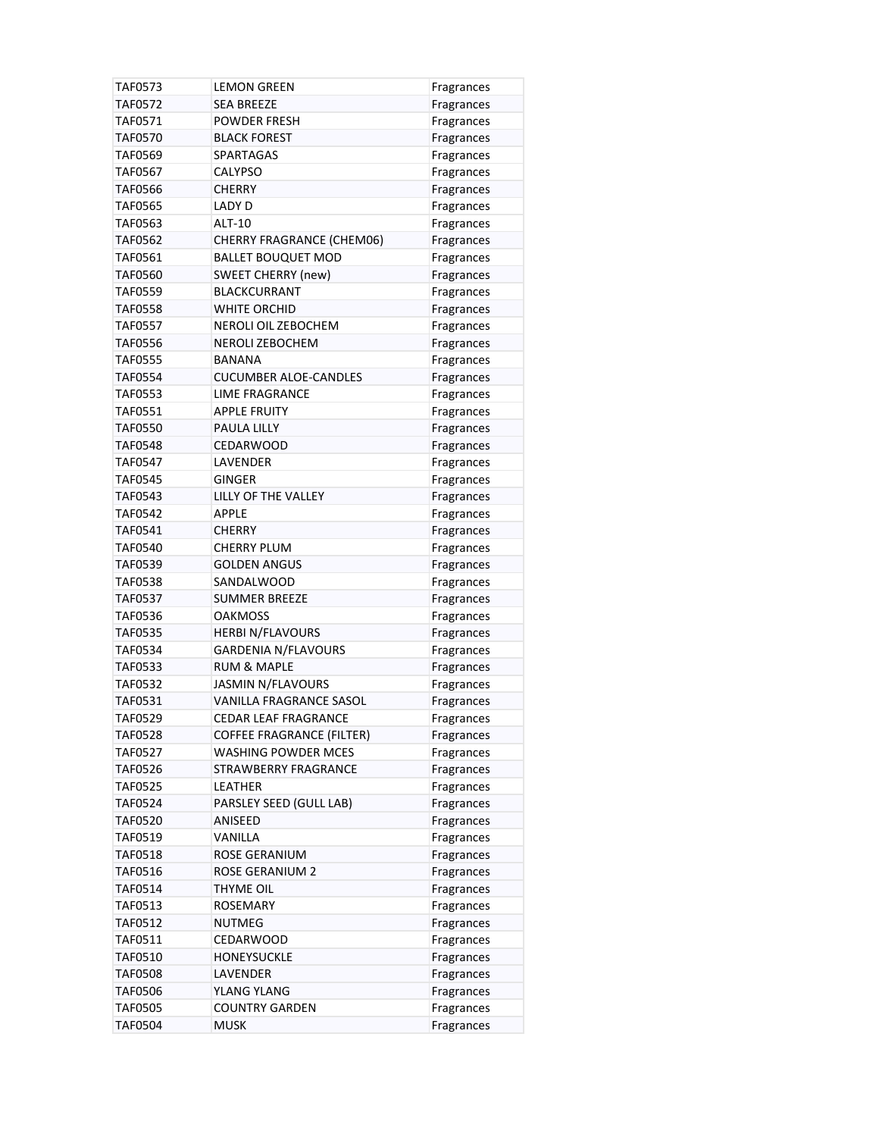| TAF0573        | LEMON GREEN                      | Fragrances               |
|----------------|----------------------------------|--------------------------|
| <b>TAF0572</b> | <b>SEA BREEZE</b>                | Fragrances               |
| TAF0571        | <b>POWDER FRESH</b>              | Fragrances               |
| TAF0570        | <b>BLACK FOREST</b>              | Fragrances               |
| <b>TAF0569</b> | <b>SPARTAGAS</b>                 | Fragrances               |
| <b>TAF0567</b> | CALYPSO                          | Fragrances               |
| TAF0566        | CHERRY                           | Fragrances               |
| TAF0565        | <b>LADY D</b>                    | Fragrances               |
| <b>TAF0563</b> | <b>ALT-10</b>                    | Fragrances               |
| <b>TAF0562</b> | CHERRY FRAGRANCE (CHEM06)        | Fragrances               |
| TAF0561        | <b>BALLET BOUQUET MOD</b>        | Fragrances               |
| <b>TAF0560</b> | <b>SWEET CHERRY (new)</b>        | Fragrances               |
| <b>TAF0559</b> | <b>BLACKCURRANT</b>              | Fragrances               |
| <b>TAF0558</b> | WHITE ORCHID                     | Fragrances               |
| <b>TAF0557</b> | NEROLI OIL ZEBOCHEM              | Fragrances               |
| <b>TAF0556</b> | <b>NEROLI ZEBOCHEM</b>           | Fragrances               |
| TAF0555        | <b>BANANA</b>                    | Fragrances               |
| <b>TAF0554</b> | <b>CUCUMBER ALOE-CANDLES</b>     | Fragrances               |
| <b>TAF0553</b> | LIME FRAGRANCE                   | Fragrances               |
| <b>TAF0551</b> | APPLE FRUITY                     | Fragrances               |
| <b>TAF0550</b> | <b>PAULA LILLY</b>               | Fragrances               |
| <b>TAF0548</b> | CEDARWOOD                        | Fragrances               |
| <b>TAF0547</b> | LAVENDER                         | Fragrances               |
| <b>TAF0545</b> | <b>GINGER</b>                    | Fragrances               |
| TAF0543        | LILLY OF THE VALLEY              | Fragrances               |
| <b>TAF0542</b> | APPLE                            | Fragrances               |
| <b>TAF0541</b> | CHERRY                           | Fragrances               |
| <b>TAF0540</b> | <b>CHERRY PLUM</b>               | Fragrances               |
| <b>TAF0539</b> | <b>GOLDEN ANGUS</b>              | Fragrances               |
| <b>TAF0538</b> | SANDALWOOD                       | Fragrances               |
| <b>TAF0537</b> | <b>SUMMER BREEZE</b>             | Fragrances               |
| <b>TAF0536</b> | <b>OAKMOSS</b>                   | Fragrances               |
| <b>TAF0535</b> | <b>HERBI N/FLAVOURS</b>          | Fragrances               |
| TAF0534        | <b>GARDENIA N/FLAVOURS</b>       | Fragrances               |
| TAF0533        | <b>RUM &amp; MAPLE</b>           | Fragrances               |
| <b>TAF0532</b> | <b>JASMIN N/FLAVOURS</b>         | Fragrances               |
| TAF0531        | VANILLA FRAGRANCE SASOL          | Fragrances               |
| <b>TAF0529</b> | <b>CEDAR LEAF FRAGRANCE</b>      | Fragrances               |
| <b>TAF0528</b> | <b>COFFEE FRAGRANCE (FILTER)</b> | Fragrances               |
| <b>TAF0527</b> | <b>WASHING POWDER MCES</b>       | Fragrances               |
| TAF0526        | STRAWBERRY FRAGRANCE             | Fragrances               |
| <b>TAF0525</b> | LEATHER                          | Fragrances               |
| <b>TAF0524</b> | PARSLEY SEED (GULL LAB)          | Fragrances               |
| <b>TAF0520</b> | ANISEED                          | Fragrances               |
| TAF0519        | VANILLA                          | Fragrances               |
| TAF0518        | ROSE GERANIUM                    | Fragrances               |
| TAF0516        | <b>ROSE GERANIUM 2</b>           |                          |
| TAF0514        | THYME OIL                        | Fragrances<br>Fragrances |
| TAF0513        | <b>ROSEMARY</b>                  | Fragrances               |
| TAF0512        | <b>NUTMEG</b>                    |                          |
| TAF0511        | <b>CEDARWOOD</b>                 | Fragrances               |
| <b>TAF0510</b> | <b>HONEYSUCKLE</b>               | Fragrances               |
|                |                                  | Fragrances               |
| <b>TAF0508</b> | LAVENDER                         | Fragrances               |
| TAF0506        | YLANG YLANG                      | Fragrances               |
| <b>TAF0505</b> | <b>COUNTRY GARDEN</b>            | Fragrances               |
| <b>TAF0504</b> | <b>MUSK</b>                      | Fragrances               |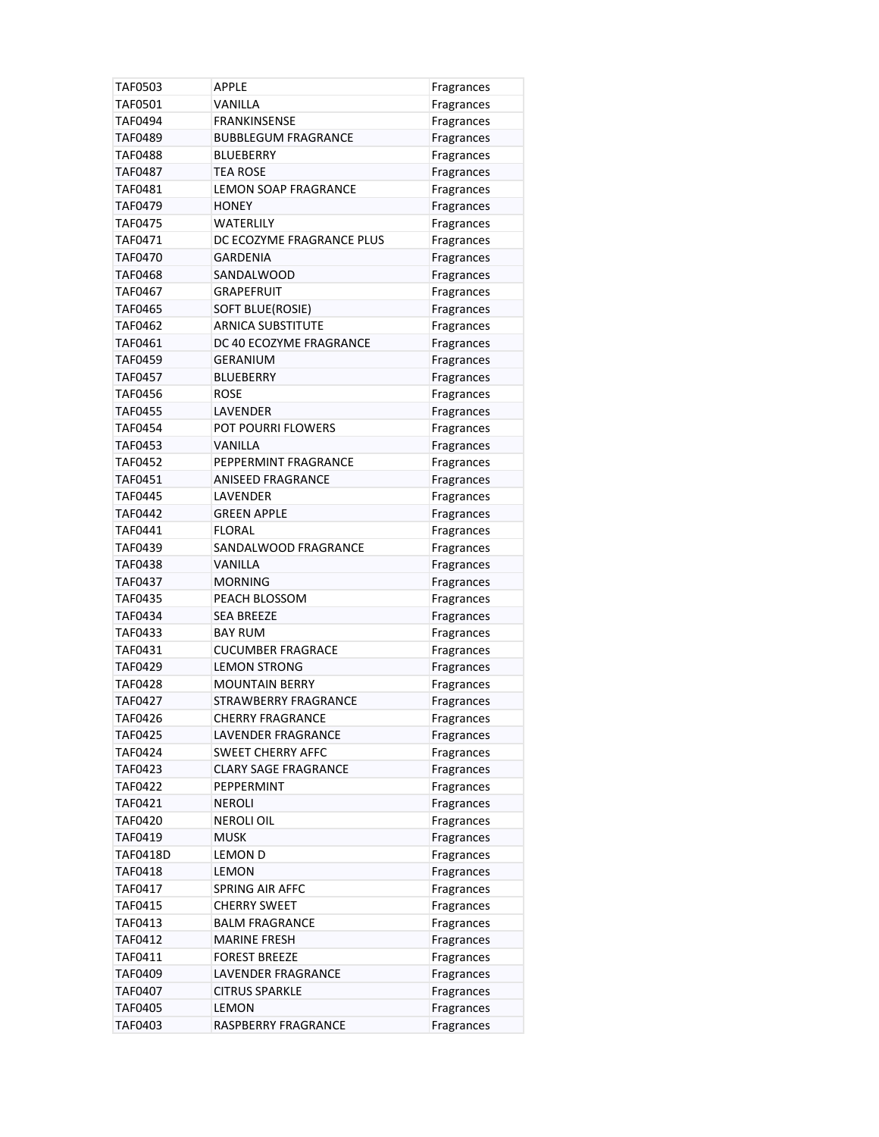| TAF0503        | APPLE                                  | Fragrances               |
|----------------|----------------------------------------|--------------------------|
| <b>TAF0501</b> | VANILLA                                | Fragrances               |
| TAF0494        | <b>FRANKINSENSE</b>                    | Fragrances               |
| <b>TAF0489</b> | <b>BUBBLEGUM FRAGRANCE</b>             | Fragrances               |
| TAF0488        | <b>BLUEBERRY</b>                       | Fragrances               |
| TAF0487        | <b>TEA ROSE</b>                        | Fragrances               |
| TAF0481        | <b>LEMON SOAP FRAGRANCE</b>            | Fragrances               |
| TAF0479        | <b>HONEY</b>                           | Fragrances               |
| <b>TAF0475</b> | <b>WATERLILY</b>                       | Fragrances               |
| TAF0471        | DC ECOZYME FRAGRANCE PLUS              | Fragrances               |
| TAF0470        | <b>GARDENIA</b>                        | Fragrances               |
| <b>TAF0468</b> | SANDALWOOD                             | Fragrances               |
| TAF0467        | <b>GRAPEFRUIT</b>                      | Fragrances               |
| TAF0465        | SOFT BLUE(ROSIE)                       | Fragrances               |
| <b>TAF0462</b> | <b>ARNICA SUBSTITUTE</b>               | Fragrances               |
| TAF0461        | DC 40 ECOZYME FRAGRANCE                | Fragrances               |
| TAF0459        | <b>GERANIUM</b>                        | Fragrances               |
| <b>TAF0457</b> | <b>BLUEBERRY</b>                       | Fragrances               |
| TAF0456        | ROSE                                   | Fragrances               |
| <b>TAF0455</b> | LAVENDER                               | Fragrances               |
| <b>TAF0454</b> | <b>POT POURRI FLOWERS</b>              | Fragrances               |
| <b>TAF0453</b> | <b>VANILLA</b>                         | Fragrances               |
| <b>TAF0452</b> | PEPPERMINT FRAGRANCE                   | Fragrances               |
| TAF0451        | <b>ANISEED FRAGRANCE</b>               | Fragrances               |
| <b>TAF0445</b> | LAVENDER                               | Fragrances               |
| TAF0442        | <b>GREEN APPLE</b>                     | Fragrances               |
| TAF0441        | <b>FLORAL</b>                          |                          |
| TAF0439        | SANDALWOOD FRAGRANCE                   | Fragrances               |
| <b>TAF0438</b> | VANILLA                                | Fragrances<br>Fragrances |
| <b>TAF0437</b> | <b>MORNING</b>                         | Fragrances               |
| TAF0435        | PEACH BLOSSOM                          |                          |
| TAF0434        | <b>SEA BREEZE</b>                      | Fragrances<br>Fragrances |
| TAF0433        | <b>BAY RUM</b>                         |                          |
| TAF0431        | <b>CUCUMBER FRAGRACE</b>               | Fragrances<br>Fragrances |
| <b>TAF0429</b> | <b>LEMON STRONG</b>                    |                          |
| TAF0428        | <b>MOUNTAIN BERRY</b>                  | Fragrances               |
| TAF0427        | <b>STRAWBERRY FRAGRANCE</b>            | Fragrances<br>Fragrances |
| <b>TAF0426</b> | <b>CHERRY FRAGRANCE</b>                | Fragrances               |
| <b>TAF0425</b> | LAVENDER FRAGRANCE                     | Fragrances               |
| <b>TAF0424</b> | <b>SWEET CHERRY AFFC</b>               |                          |
| TAF0423        | <b>CLARY SAGE FRAGRANCE</b>            | Fragrances<br>Fragrances |
| TAF0422        | PEPPERMINT                             | Fragrances               |
| TAF0421        | <b>NEROLI</b>                          | Fragrances               |
| TAF0420        | <b>NEROLI OIL</b>                      |                          |
| TAF0419        |                                        | Fragrances               |
|                | <b>MUSK</b>                            | Fragrances               |
| TAF0418D       | <b>LEMON D</b>                         | Fragrances               |
| TAF0418        | <b>LEMON</b>                           | Fragrances               |
| TAF0417        | SPRING AIR AFFC<br><b>CHERRY SWEET</b> | Fragrances               |
| TAF0415        |                                        | Fragrances               |
| TAF0413        | <b>BALM FRAGRANCE</b>                  | Fragrances               |
| TAF0412        | <b>MARINE FRESH</b>                    | Fragrances               |
| TAF0411        | <b>FOREST BREEZE</b>                   | Fragrances               |
| TAF0409        | LAVENDER FRAGRANCE                     | Fragrances               |
| TAF0407        | <b>CITRUS SPARKLE</b>                  | Fragrances               |
| <b>TAF0405</b> | LEMON                                  | Fragrances               |
| TAF0403        | RASPBERRY FRAGRANCE                    | Fragrances               |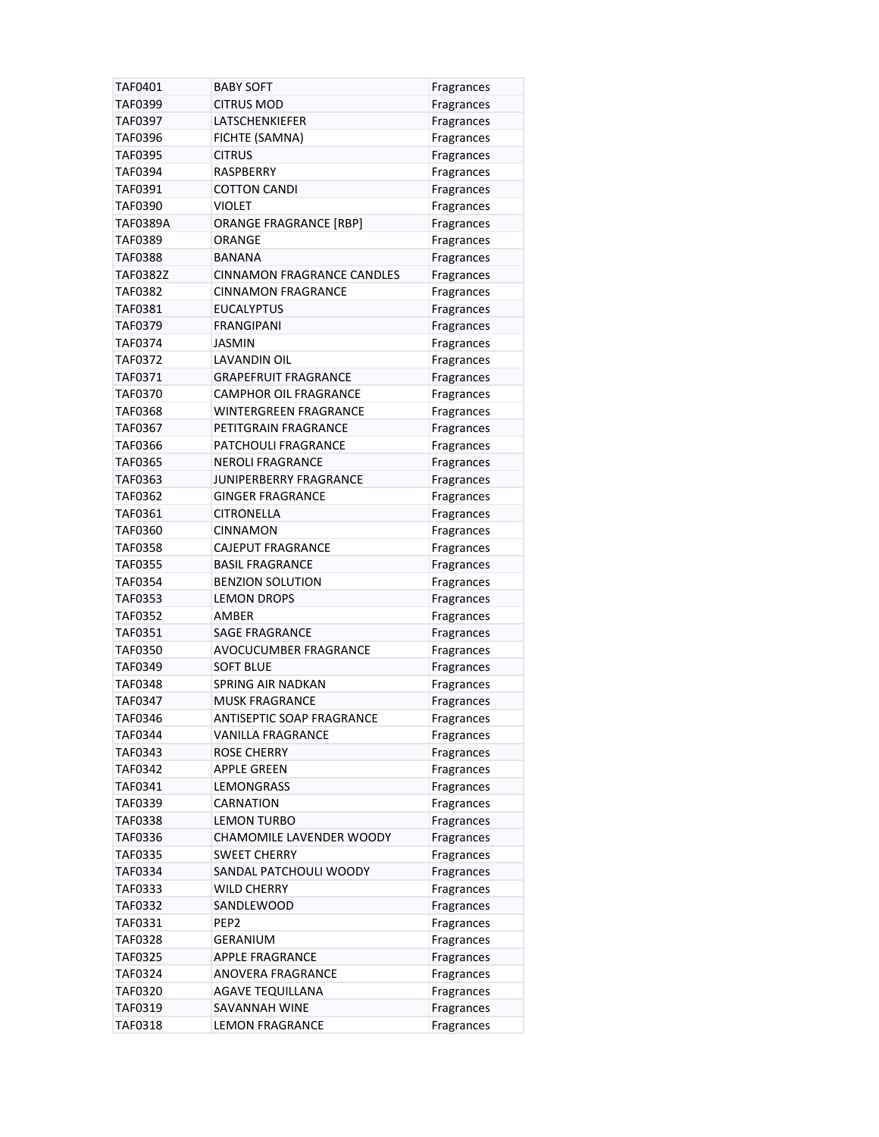| TAF0401        | <b>BABY SOFT</b>                  | Fragrances |
|----------------|-----------------------------------|------------|
| TAF0399        | <b>CITRUS MOD</b>                 | Fragrances |
| TAF0397        | LATSCHENKIEFER                    | Fragrances |
| TAF0396        | FICHTE (SAMNA)                    | Fragrances |
| TAF0395        | <b>CITRUS</b>                     | Fragrances |
| TAF0394        | <b>RASPBERRY</b>                  | Fragrances |
| TAF0391        | <b>COTTON CANDI</b>               | Fragrances |
| <b>TAF0390</b> | <b>VIOLET</b>                     | Fragrances |
| TAF0389A       | <b>ORANGE FRAGRANCE [RBP]</b>     | Fragrances |
| TAF0389        | <b>ORANGE</b>                     | Fragrances |
| TAF0388        | <b>BANANA</b>                     | Fragrances |
| TAF0382Z       | <b>CINNAMON FRAGRANCE CANDLES</b> | Fragrances |
| TAF0382        | <b>CINNAMON FRAGRANCE</b>         | Fragrances |
| TAF0381        | <b>EUCALYPTUS</b>                 | Fragrances |
| TAF0379        | FRANGIPANI                        | Fragrances |
| TAF0374        | <b>JASMIN</b>                     | Fragrances |
| TAF0372        | LAVANDIN OIL                      | Fragrances |
| TAF0371        | <b>GRAPEFRUIT FRAGRANCE</b>       | Fragrances |
| <b>TAF0370</b> | CAMPHOR OIL FRAGRANCE             | Fragrances |
| <b>TAF0368</b> | <b>WINTERGREEN FRAGRANCE</b>      | Fragrances |
| TAF0367        | PETITGRAIN FRAGRANCE              | Fragrances |
| <b>TAF0366</b> | PATCHOULI FRAGRANCE               | Fragrances |
| <b>TAF0365</b> | <b>NEROLI FRAGRANCE</b>           | Fragrances |
| TAF0363        | JUNIPERBERRY FRAGRANCE            | Fragrances |
| TAF0362        | <b>GINGER FRAGRANCE</b>           | Fragrances |
| TAF0361        | CITRONELLA                        | Fragrances |
| <b>TAF0360</b> | <b>CINNAMON</b>                   | Fragrances |
| <b>TAF0358</b> | CAJEPUT FRAGRANCE                 | Fragrances |
| <b>TAF0355</b> | <b>BASIL FRAGRANCE</b>            | Fragrances |
| TAF0354        | <b>BENZION SOLUTION</b>           | Fragrances |
| TAF0353        | <b>LEMON DROPS</b>                | Fragrances |
| <b>TAF0352</b> | AMBER                             | Fragrances |
| TAF0351        | <b>SAGE FRAGRANCE</b>             | Fragrances |
| <b>TAF0350</b> | AVOCUCUMBER FRAGRANCE             | Fragrances |
| <b>TAF0349</b> | <b>SOFT BLUE</b>                  | Fragrances |
| <b>TAF0348</b> | <b>SPRING AIR NADKAN</b>          | Fragrances |
| TAF0347        | <b>MUSK FRAGRANCE</b>             | Fragrances |
| TAF0346        | ANTISEPTIC SOAP FRAGRANCE         | Fragrances |
| TAF0344        | <b>VANILLA FRAGRANCE</b>          | Fragrances |
| TAF0343        | <b>ROSE CHERRY</b>                | Fragrances |
| TAF0342        | <b>APPLE GREEN</b>                | Fragrances |
| TAF0341        | <b>LEMONGRASS</b>                 | Fragrances |
| TAF0339        | <b>CARNATION</b>                  | Fragrances |
| TAF0338        | <b>LEMON TURBO</b>                | Fragrances |
| TAF0336        | CHAMOMILE LAVENDER WOODY          | Fragrances |
| TAF0335        | <b>SWEET CHERRY</b>               | Fragrances |
| TAF0334        | SANDAL PATCHOULI WOODY            | Fragrances |
| TAF0333        | WILD CHERRY                       | Fragrances |
| TAF0332        | SANDLEWOOD                        | Fragrances |
| TAF0331        | PEP2                              | Fragrances |
| <b>TAF0328</b> | GERANIUM                          | Fragrances |
| TAF0325        | <b>APPLE FRAGRANCE</b>            | Fragrances |
| TAF0324        | <b>ANOVERA FRAGRANCE</b>          |            |
| <b>TAF0320</b> | <b>AGAVE TEQUILLANA</b>           | Fragrances |
| TAF0319        | SAVANNAH WINE                     | Fragrances |
|                |                                   | Fragrances |
| TAF0318        | <b>LEMON FRAGRANCE</b>            | Fragrances |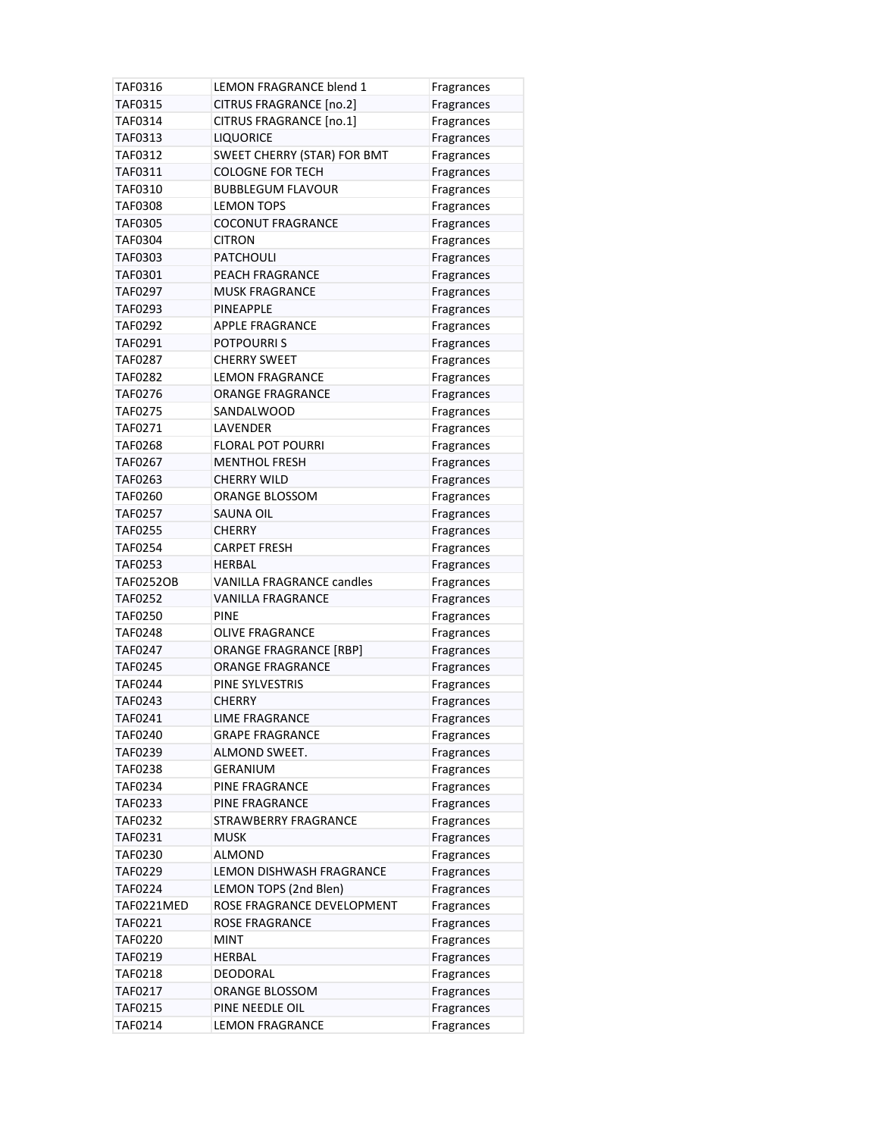| TAF0316          | <b>LEMON FRAGRANCE blend 1</b>   | Fragrances |
|------------------|----------------------------------|------------|
| <b>TAF0315</b>   | <b>CITRUS FRAGRANCE [no.2]</b>   | Fragrances |
| TAF0314          | CITRUS FRAGRANCE [no.1]          | Fragrances |
| TAF0313          | <b>LIQUORICE</b>                 | Fragrances |
| TAF0312          | SWEET CHERRY (STAR) FOR BMT      | Fragrances |
| TAF0311          | <b>COLOGNE FOR TECH</b>          | Fragrances |
| <b>TAF0310</b>   | <b>BUBBLEGUM FLAVOUR</b>         | Fragrances |
| TAF0308          | <b>LEMON TOPS</b>                | Fragrances |
| <b>TAF0305</b>   | <b>COCONUT FRAGRANCE</b>         | Fragrances |
| <b>TAF0304</b>   | <b>CITRON</b>                    | Fragrances |
| TAF0303          | <b>PATCHOULI</b>                 | Fragrances |
| TAF0301          | PEACH FRAGRANCE                  | Fragrances |
| TAF0297          | <b>MUSK FRAGRANCE</b>            | Fragrances |
| TAF0293          | <b>PINEAPPLE</b>                 | Fragrances |
| TAF0292          | <b>APPLE FRAGRANCE</b>           | Fragrances |
| TAF0291          | <b>POTPOURRIS</b>                | Fragrances |
| <b>TAF0287</b>   | <b>CHERRY SWEET</b>              | Fragrances |
| <b>TAF0282</b>   | <b>LEMON FRAGRANCE</b>           | Fragrances |
| TAF0276          | <b>ORANGE FRAGRANCE</b>          | Fragrances |
| <b>TAF0275</b>   | SANDALWOOD                       | Fragrances |
| TAF0271          | LAVENDER                         | Fragrances |
| <b>TAF0268</b>   | <b>FLORAL POT POURRI</b>         | Fragrances |
| <b>TAF0267</b>   | <b>MENTHOL FRESH</b>             | Fragrances |
| TAF0263          | <b>CHERRY WILD</b>               | Fragrances |
| <b>TAF0260</b>   | <b>ORANGE BLOSSOM</b>            | Fragrances |
| <b>TAF0257</b>   | SAUNA OIL                        | Fragrances |
| <b>TAF0255</b>   | <b>CHERRY</b>                    | Fragrances |
| <b>TAF0254</b>   | <b>CARPET FRESH</b>              | Fragrances |
| <b>TAF0253</b>   | HERBAL                           | Fragrances |
| <b>TAF0252OB</b> | <b>VANILLA FRAGRANCE candles</b> | Fragrances |
| TAF0252          | <b>VANILLA FRAGRANCE</b>         | Fragrances |
| <b>TAF0250</b>   | <b>PINE</b>                      | Fragrances |
| <b>TAF0248</b>   | <b>OLIVE FRAGRANCE</b>           | Fragrances |
| TAF0247          | <b>ORANGE FRAGRANCE [RBP]</b>    | Fragrances |
| <b>TAF0245</b>   | <b>ORANGE FRAGRANCE</b>          | Fragrances |
| TAF0244          | PINE SYLVESTRIS                  | Fragrances |
| TAF0243          | <b>CHERRY</b>                    | Fragrances |
| TAF0241          | <b>LIME FRAGRANCE</b>            | Fragrances |
| <b>TAF0240</b>   | <b>GRAPE FRAGRANCE</b>           | Fragrances |
| TAF0239          | ALMOND SWEET.                    |            |
| TAF0238          | <b>GERANIUM</b>                  | Fragrances |
| TAF0234          | PINE FRAGRANCE                   | Fragrances |
| TAF0233          | PINE FRAGRANCE                   | Fragrances |
|                  | <b>STRAWBERRY FRAGRANCE</b>      | Fragrances |
| TAF0232          |                                  | Fragrances |
| TAF0231          | <b>MUSK</b><br><b>ALMOND</b>     | Fragrances |
| <b>TAF0230</b>   |                                  | Fragrances |
| TAF0229          | LEMON DISHWASH FRAGRANCE         | Fragrances |
| TAF0224          | LEMON TOPS (2nd Blen)            | Fragrances |
| TAF0221MED       | ROSE FRAGRANCE DEVELOPMENT       | Fragrances |
| TAF0221          | <b>ROSE FRAGRANCE</b>            | Fragrances |
| <b>TAF0220</b>   | <b>MINT</b>                      | Fragrances |
| TAF0219          | HERBAL                           | Fragrances |
| <b>TAF0218</b>   | DEODORAL                         | Fragrances |
| TAF0217          | ORANGE BLOSSOM                   | Fragrances |
| TAF0215          | PINE NEEDLE OIL                  | Fragrances |
| TAF0214          | <b>LEMON FRAGRANCE</b>           | Fragrances |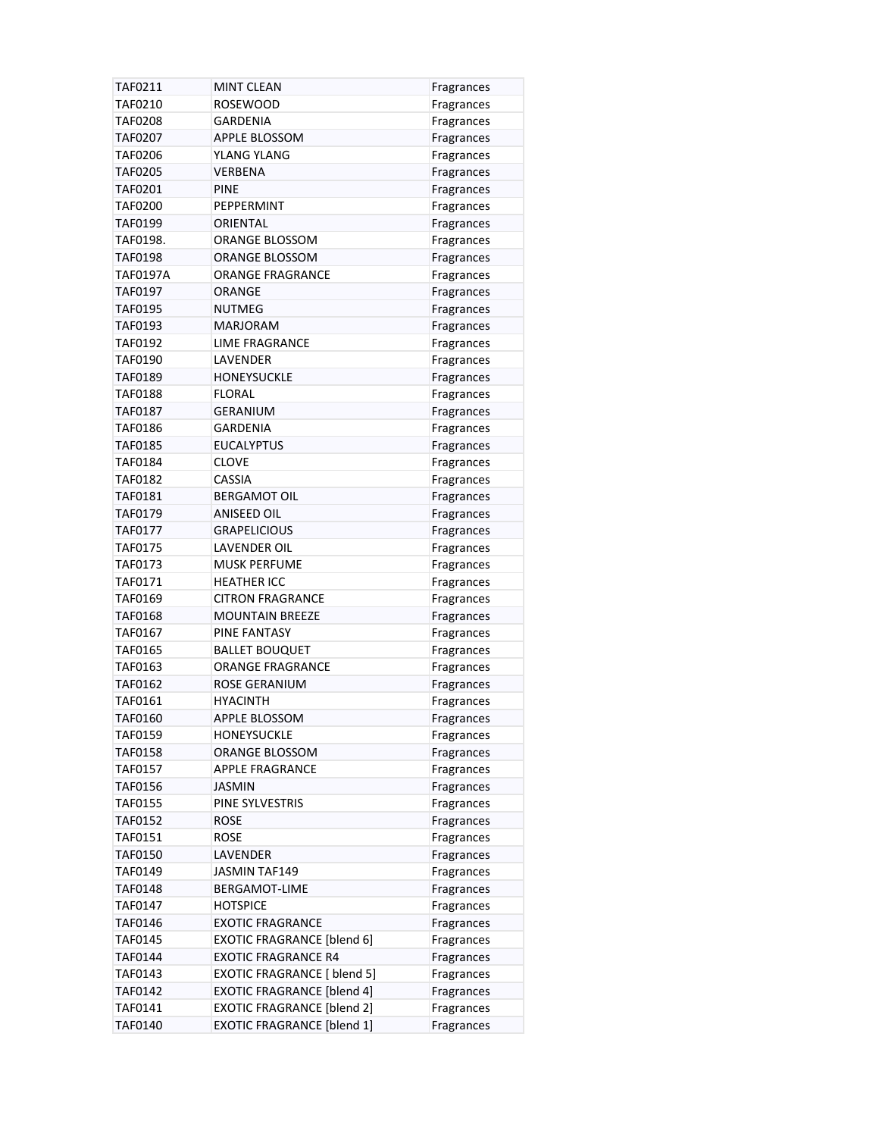| TAF0211        | <b>MINT CLEAN</b>                  | Fragrances |
|----------------|------------------------------------|------------|
| TAF0210        | <b>ROSEWOOD</b>                    | Fragrances |
| TAF0208        | GARDENIA                           | Fragrances |
| TAF0207        | APPLE BLOSSOM                      | Fragrances |
| TAF0206        | YLANG YLANG                        | Fragrances |
| TAF0205        | VERBENA                            | Fragrances |
| TAF0201        | <b>PINE</b>                        | Fragrances |
| TAF0200        | PEPPERMINT                         | Fragrances |
| TAF0199        | ORIENTAL                           | Fragrances |
| TAF0198.       | ORANGE BLOSSOM                     | Fragrances |
| TAF0198        | ORANGE BLOSSOM                     | Fragrances |
| TAF0197A       | <b>ORANGE FRAGRANCE</b>            | Fragrances |
| TAF0197        | ORANGE                             | Fragrances |
| TAF0195        | <b>NUTMEG</b>                      | Fragrances |
| TAF0193        | <b>MARJORAM</b>                    | Fragrances |
| TAF0192        | <b>LIME FRAGRANCE</b>              | Fragrances |
| TAF0190        | <b>LAVENDER</b>                    | Fragrances |
| TAF0189        | <b>HONEYSUCKLE</b>                 | Fragrances |
| TAF0188        | <b>FLORAL</b>                      | Fragrances |
| TAF0187        | <b>GERANIUM</b>                    | Fragrances |
| TAF0186        | <b>GARDENIA</b>                    | Fragrances |
| TAF0185        | <b>EUCALYPTUS</b>                  | Fragrances |
| TAF0184        | <b>CLOVE</b>                       | Fragrances |
| TAF0182        | <b>CASSIA</b>                      | Fragrances |
| TAF0181        | <b>BERGAMOT OIL</b>                | Fragrances |
| TAF0179        | <b>ANISEED OIL</b>                 | Fragrances |
| TAF0177        | <b>GRAPELICIOUS</b>                | Fragrances |
| TAF0175        | LAVENDER OIL                       | Fragrances |
| TAF0173        | <b>MUSK PERFUME</b>                | Fragrances |
| TAF0171        | <b>HEATHER ICC</b>                 | Fragrances |
| TAF0169        | <b>CITRON FRAGRANCE</b>            | Fragrances |
| <b>TAF0168</b> | <b>MOUNTAIN BREEZE</b>             | Fragrances |
| TAF0167        | PINE FANTASY                       | Fragrances |
| TAF0165        | <b>BALLET BOUQUET</b>              | Fragrances |
| TAF0163        | <b>ORANGE FRAGRANCE</b>            | Fragrances |
| TAF0162        | ROSE GERANIUM                      | Fragrances |
| TAF0161        | <b>HYACINTH</b>                    | Fragrances |
| TAF0160        | APPLE BLOSSOM                      | Fragrances |
| TAF0159        | HONEYSUCKLE                        | Fragrances |
| TAF0158        | <b>ORANGE BLOSSOM</b>              | Fragrances |
| TAF0157        | <b>APPLE FRAGRANCE</b>             | Fragrances |
| TAF0156        | JASMIN                             | Fragrances |
| TAF0155        | PINE SYLVESTRIS                    | Fragrances |
| TAF0152        | <b>ROSE</b>                        | Fragrances |
| TAF0151        | <b>ROSE</b>                        | Fragrances |
| TAF0150        | LAVENDER                           | Fragrances |
| TAF0149        | <b>JASMIN TAF149</b>               | Fragrances |
| TAF0148        | BERGAMOT-LIME                      | Fragrances |
| TAF0147        | <b>HOTSPICE</b>                    | Fragrances |
| TAF0146        | <b>EXOTIC FRAGRANCE</b>            | Fragrances |
| TAF0145        | <b>EXOTIC FRAGRANCE [blend 6]</b>  | Fragrances |
| TAF0144        | <b>EXOTIC FRAGRANCE R4</b>         | Fragrances |
| TAF0143        | <b>EXOTIC FRAGRANCE [ blend 5]</b> | Fragrances |
| TAF0142        | <b>EXOTIC FRAGRANCE [blend 4]</b>  | Fragrances |
| TAF0141        | <b>EXOTIC FRAGRANCE [blend 2]</b>  | Fragrances |
| TAF0140        | <b>EXOTIC FRAGRANCE [blend 1]</b>  | Fragrances |